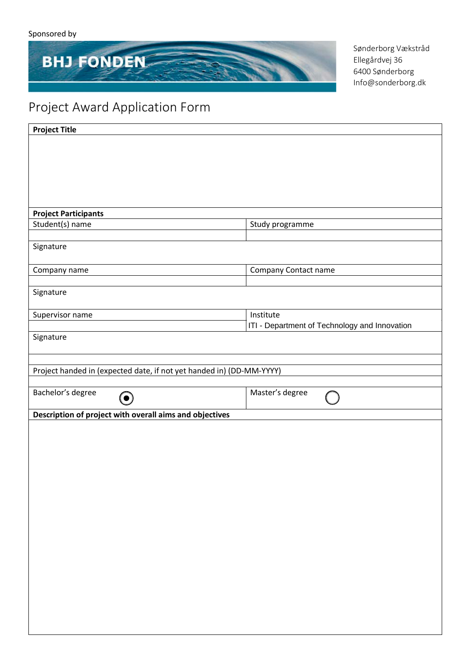**BHJ FONDEN** 

Sønderborg Vækstråd Ellegårdvej 36 6400 Sønderborg Info@sonderborg.dk

# Project Award Application Form

| <b>Project Title</b>                                                 |                                               |
|----------------------------------------------------------------------|-----------------------------------------------|
|                                                                      |                                               |
|                                                                      |                                               |
|                                                                      |                                               |
|                                                                      |                                               |
|                                                                      |                                               |
|                                                                      |                                               |
| <b>Project Participants</b>                                          |                                               |
| Student(s) name                                                      | Study programme                               |
| Signature                                                            |                                               |
|                                                                      |                                               |
| Company name                                                         | Company Contact name                          |
|                                                                      |                                               |
| Signature                                                            |                                               |
|                                                                      |                                               |
| Supervisor name                                                      | Institute                                     |
|                                                                      | ITI - Department of Technology and Innovation |
| Signature                                                            |                                               |
|                                                                      |                                               |
| Project handed in (expected date, if not yet handed in) (DD-MM-YYYY) |                                               |
|                                                                      |                                               |
| Bachelor's degree                                                    | Master's degree                               |
| $\bullet$                                                            |                                               |
| Description of project with overall aims and objectives              |                                               |
|                                                                      |                                               |
|                                                                      |                                               |
|                                                                      |                                               |
|                                                                      |                                               |
|                                                                      |                                               |
|                                                                      |                                               |
|                                                                      |                                               |
|                                                                      |                                               |
|                                                                      |                                               |
|                                                                      |                                               |
|                                                                      |                                               |
|                                                                      |                                               |
|                                                                      |                                               |
|                                                                      |                                               |
|                                                                      |                                               |
|                                                                      |                                               |
|                                                                      |                                               |
|                                                                      |                                               |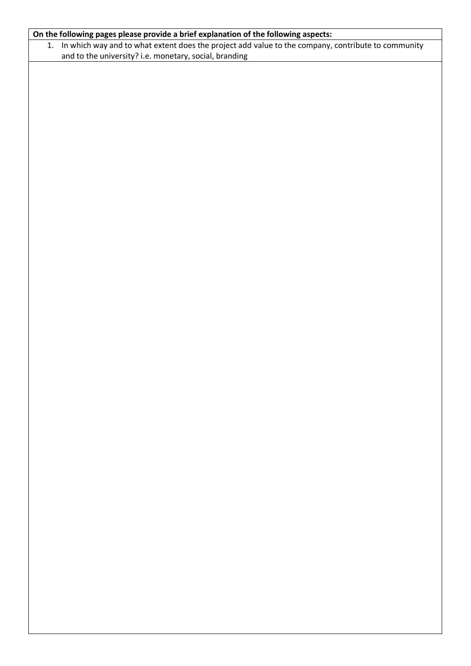## **On the following pages please provide a brief explanation of the following aspects:**

1. In which way and to what extent does the project add value to the company, contribute to community and to the university? i.e. monetary, social, branding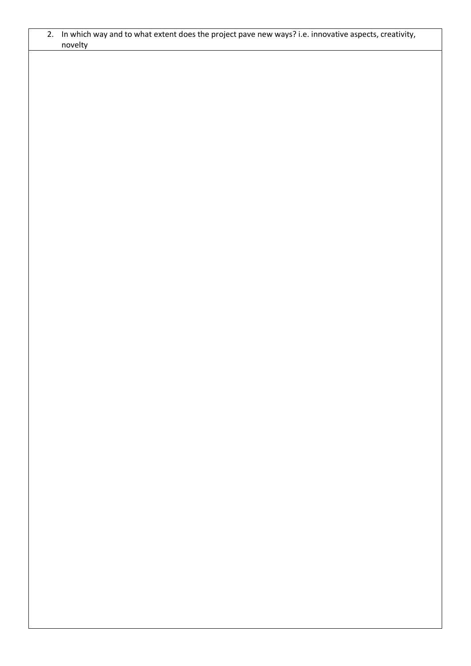| 2. In which way and to what extent does the project pave new ways? i.e. innovative aspects, creativity,<br>novelty |
|--------------------------------------------------------------------------------------------------------------------|
|                                                                                                                    |
|                                                                                                                    |
|                                                                                                                    |
|                                                                                                                    |
|                                                                                                                    |
|                                                                                                                    |
|                                                                                                                    |
|                                                                                                                    |
|                                                                                                                    |
|                                                                                                                    |
|                                                                                                                    |
|                                                                                                                    |
|                                                                                                                    |
|                                                                                                                    |
|                                                                                                                    |
|                                                                                                                    |
|                                                                                                                    |
|                                                                                                                    |
|                                                                                                                    |
|                                                                                                                    |
|                                                                                                                    |
|                                                                                                                    |
|                                                                                                                    |
|                                                                                                                    |
|                                                                                                                    |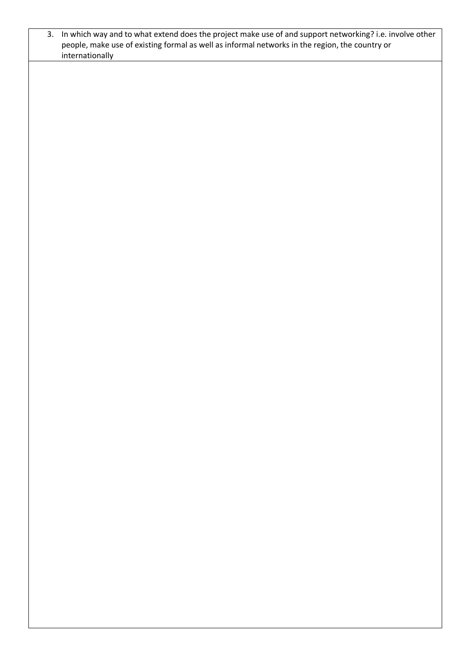|  | internationally |  |  |
|--|-----------------|--|--|
|  |                 |  |  |
|  |                 |  |  |
|  |                 |  |  |
|  |                 |  |  |
|  |                 |  |  |
|  |                 |  |  |
|  |                 |  |  |
|  |                 |  |  |
|  |                 |  |  |
|  |                 |  |  |
|  |                 |  |  |
|  |                 |  |  |
|  |                 |  |  |
|  |                 |  |  |
|  |                 |  |  |
|  |                 |  |  |
|  |                 |  |  |
|  |                 |  |  |
|  |                 |  |  |
|  |                 |  |  |
|  |                 |  |  |
|  |                 |  |  |
|  |                 |  |  |
|  |                 |  |  |
|  |                 |  |  |
|  |                 |  |  |
|  |                 |  |  |
|  |                 |  |  |
|  |                 |  |  |
|  |                 |  |  |
|  |                 |  |  |
|  |                 |  |  |
|  |                 |  |  |
|  |                 |  |  |
|  |                 |  |  |
|  |                 |  |  |
|  |                 |  |  |
|  |                 |  |  |
|  |                 |  |  |
|  |                 |  |  |
|  |                 |  |  |
|  |                 |  |  |
|  |                 |  |  |
|  |                 |  |  |
|  |                 |  |  |
|  |                 |  |  |
|  |                 |  |  |
|  |                 |  |  |
|  |                 |  |  |
|  |                 |  |  |
|  |                 |  |  |
|  |                 |  |  |
|  |                 |  |  |
|  |                 |  |  |
|  |                 |  |  |
|  |                 |  |  |
|  |                 |  |  |
|  |                 |  |  |
|  |                 |  |  |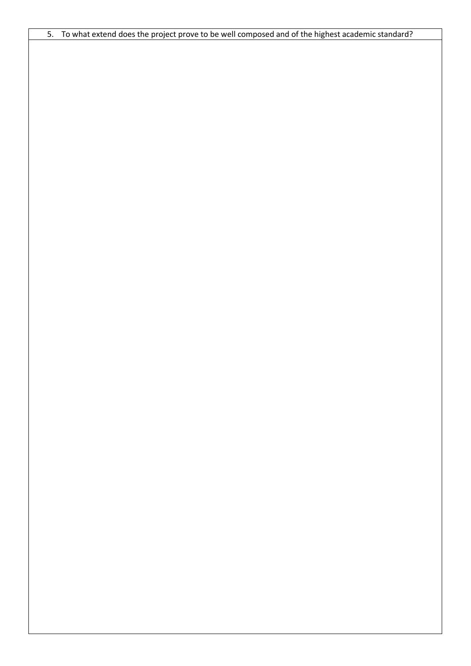|  |  |  | 5. To what extend does the project prove to be well composed and of the highest academic standard? |  |  |
|--|--|--|----------------------------------------------------------------------------------------------------|--|--|
|--|--|--|----------------------------------------------------------------------------------------------------|--|--|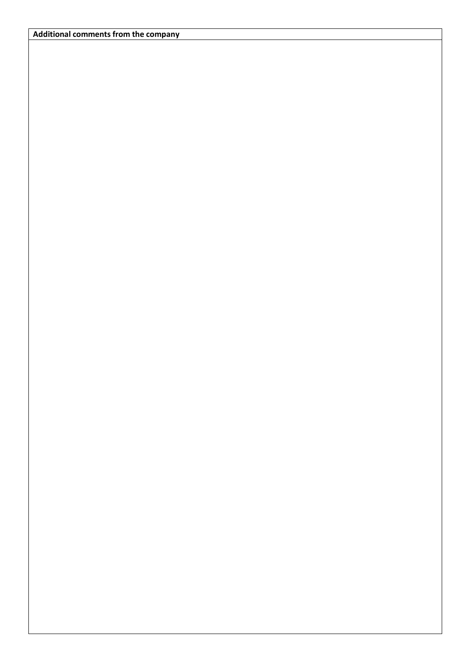### **Additional comments from the company**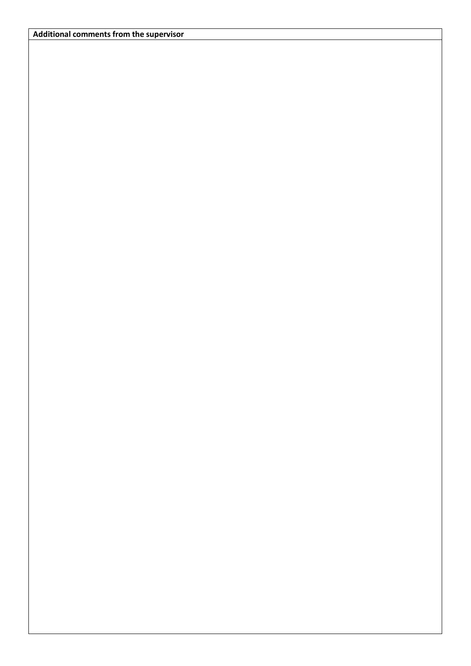### **Additional comments from the supervisor**